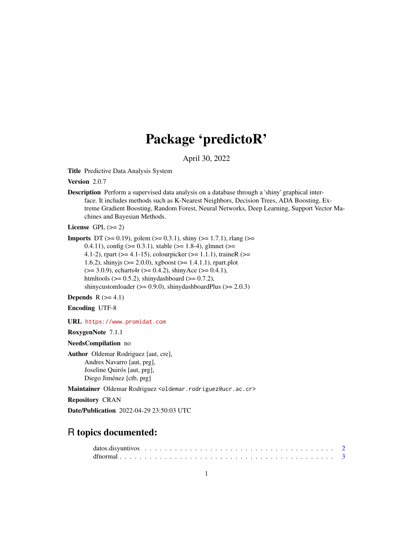# Package 'predictoR'

April 30, 2022

Title Predictive Data Analysis System

Version 2.0.7

Description Perform a supervised data analysis on a database through a 'shiny' graphical interface. It includes methods such as K-Nearest Neighbors, Decision Trees, ADA Boosting, Extreme Gradient Boosting, Random Forest, Neural Networks, Deep Learning, Support Vector Machines and Bayesian Methods.

License GPL  $(>= 2)$ 

```
Imports DT (>= 0.19), golem (>= 0.3.1), shiny (>= 1.7.1), rlang (>= 1.7.1)
      0.4.11), config (> = 0.3.1), xtable (> = 1.8-4), glmnet (> =4.1-2), rpart (>= 4.1-15), colourpicker (>= 1.1.1), traineR (>=1.6.2), shinyjs (> = 2.0.0), xgboost (> = 1.4.1.1), rpart.plot
      (>= 3.0.9), echarts4r (>= 0.4.2), shinyAce (>= 0.4.1),
      htmltools (> = 0.5.2), shinydashboard (> = 0.7.2),
      shinycustomloader (> = 0.9.0), shinydashboardPlus (> = 2.0.3)
```
Depends  $R$  ( $>= 4.1$ )

Encoding UTF-8

URL <https://www.promidat.com>

RoxygenNote 7.1.1

NeedsCompilation no

Author Oldemar Rodriguez [aut, cre], Andres Navarro [aut, prg], Joseline Quirós [aut, prg], Diego Jiménez [ctb, prg]

Maintainer Oldemar Rodriguez <oldemar.rodriguez@ucr.ac.cr>

Repository CRAN

Date/Publication 2022-04-29 23:50:03 UTC

# R topics documented: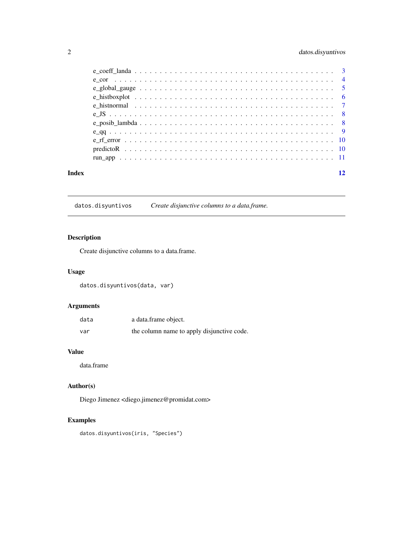# <span id="page-1-0"></span>2 datos.disyuntivos

| Index |                                                                                                          | 12 |
|-------|----------------------------------------------------------------------------------------------------------|----|
|       |                                                                                                          |    |
|       |                                                                                                          |    |
|       |                                                                                                          |    |
|       |                                                                                                          |    |
|       |                                                                                                          |    |
|       |                                                                                                          |    |
|       | e histormal $\ldots \ldots \ldots \ldots \ldots \ldots \ldots \ldots \ldots \ldots \ldots \ldots \ldots$ |    |
|       |                                                                                                          |    |
|       |                                                                                                          |    |
|       |                                                                                                          |    |
|       |                                                                                                          |    |

datos.disyuntivos *Create disjunctive columns to a data.frame.*

# Description

Create disjunctive columns to a data.frame.

# Usage

datos.disyuntivos(data, var)

# Arguments

| data | a data.frame object.                       |
|------|--------------------------------------------|
| var  | the column name to apply disjunctive code. |

# Value

data.frame

# Author(s)

Diego Jimenez <diego.jimenez@promidat.com>

# Examples

datos.disyuntivos(iris, "Species")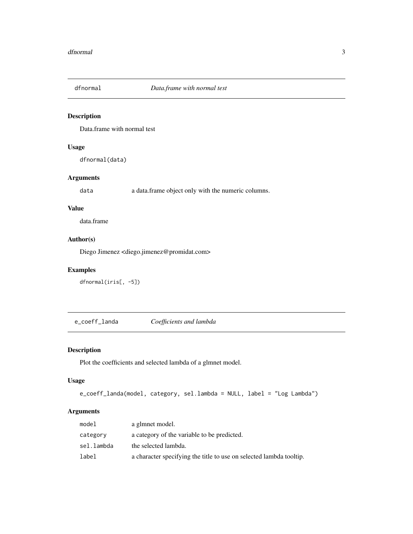<span id="page-2-0"></span>

Data.frame with normal test

# Usage

dfnormal(data)

# Arguments

data a data.frame object only with the numeric columns.

# Value

data.frame

# Author(s)

Diego Jimenez <diego.jimenez@promidat.com>

# Examples

dfnormal(iris[, -5])

e\_coeff\_landa *Coefficients and lambda*

# Description

Plot the coefficients and selected lambda of a glmnet model.

#### Usage

```
e_coeff_landa(model, category, sel.lambda = NULL, label = "Log Lambda")
```
# Arguments

| model      | a glmnet model.                                                     |
|------------|---------------------------------------------------------------------|
| category   | a category of the variable to be predicted.                         |
| sel.lambda | the selected lambda.                                                |
| label      | a character specifying the title to use on selected lambda tooltip. |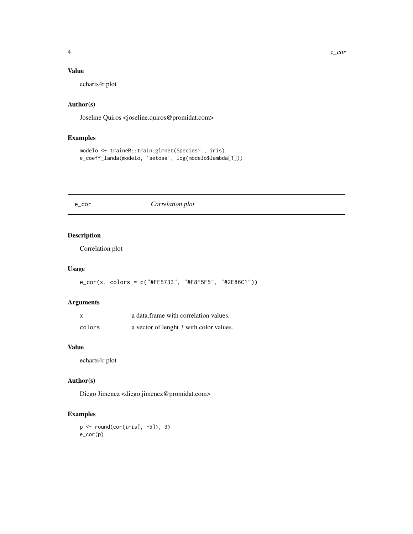# <span id="page-3-0"></span>Value

echarts4r plot

# Author(s)

Joseline Quiros <joseline.quiros@promidat.com>

# Examples

```
modelo <- traineR::train.glmnet(Species~., iris)
e_coeff_landa(modelo, 'setosa', log(modelo$lambda[1]))
```
#### e\_cor *Correlation plot*

# Description

Correlation plot

#### Usage

e\_cor(x, colors = c("#FF5733", "#F8F5F5", "#2E86C1"))

# Arguments

| X      | a data frame with correlation values.   |
|--------|-----------------------------------------|
| colors | a vector of lenght 3 with color values. |

#### Value

echarts4r plot

#### Author(s)

Diego Jimenez <diego.jimenez@promidat.com>

# Examples

 $p \leftarrow \text{round}(cor(iris[, -5]), 3)$ e\_cor(p)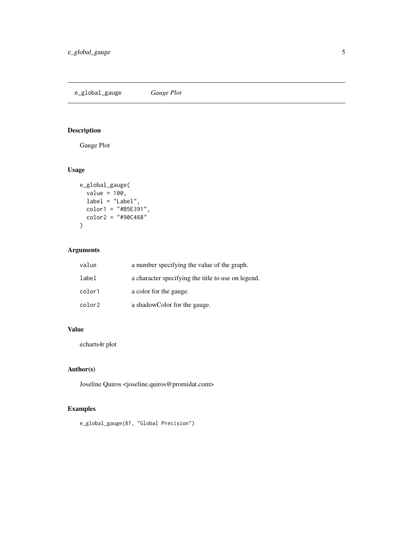<span id="page-4-0"></span>e\_global\_gauge *Gauge Plot*

# Description

Gauge Plot

# Usage

```
e_global_gauge(
 value = 100,
 label = "Label",
 color1 = "#B5E391",
 color2 = "#90C468"
)
```
# Arguments

| value  | a number specifying the value of the graph.        |
|--------|----------------------------------------------------|
| label  | a character specifying the title to use on legend. |
| color1 | a color for the gauge.                             |
| color2 | a shadow Color for the gauge.                      |

# Value

echarts4r plot

# Author(s)

Joseline Quiros <joseline.quiros@promidat.com>

# Examples

e\_global\_gauge(87, "Global Precision")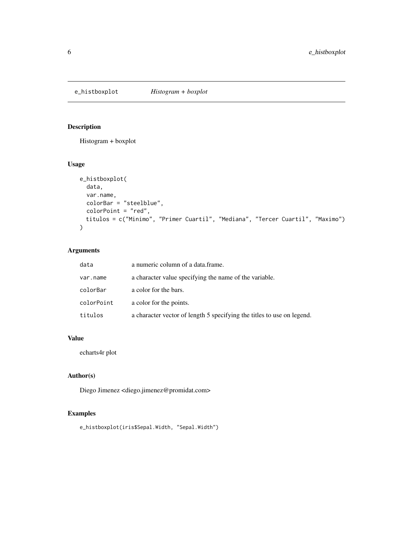<span id="page-5-0"></span>

Histogram + boxplot

#### Usage

```
e_histboxplot(
  data,
  var.name,
  colorBar = "steelblue",
  colorPoint = "red",
  titulos = c("Minimo", "Primer Cuartil", "Mediana", "Tercer Cuartil", "Maximo")
\mathcal{L}
```
# Arguments

| data       | a numeric column of a data.frame.                                      |
|------------|------------------------------------------------------------------------|
| var.name   | a character value specifying the name of the variable.                 |
| colorBar   | a color for the bars.                                                  |
| colorPoint | a color for the points.                                                |
| titulos    | a character vector of length 5 specifying the titles to use on legend. |

#### Value

echarts4r plot

# Author(s)

Diego Jimenez <diego.jimenez@promidat.com>

# Examples

```
e_histboxplot(iris$Sepal.Width, "Sepal.Width")
```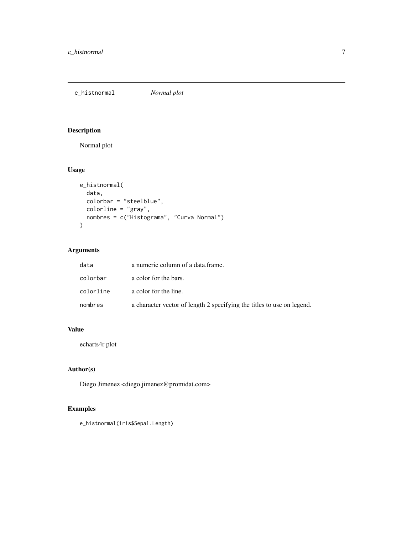<span id="page-6-0"></span>e\_histnormal *Normal plot*

# Description

Normal plot

# Usage

```
e_histnormal(
  data,
 colorbar = "steelblue",
 colorline = "gray",
 nombres = c("Histograma", "Curva Normal")
)
```
# Arguments

| data      | a numeric column of a data.frame.                                      |
|-----------|------------------------------------------------------------------------|
| colorbar  | a color for the bars.                                                  |
| colorline | a color for the line.                                                  |
| nombres   | a character vector of length 2 specifying the titles to use on legend. |

# Value

echarts4r plot

# Author(s)

Diego Jimenez <diego.jimenez@promidat.com>

# Examples

e\_histnormal(iris\$Sepal.Length)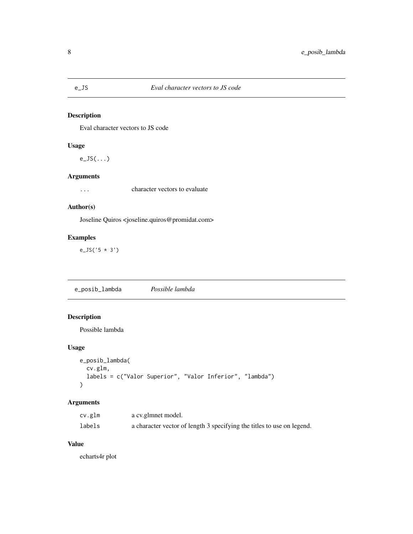<span id="page-7-0"></span>Eval character vectors to JS code

# Usage

e\_JS(...)

# Arguments

... character vectors to evaluate

# Author(s)

Joseline Quiros <joseline.quiros@promidat.com>

# Examples

e\_JS('5 \* 3')

e\_posib\_lambda *Possible lambda*

# Description

Possible lambda

# Usage

```
e_posib_lambda(
  cv.glm,
  labels = c("Valor Superior", "Valor Inferior", "lambda")
\mathcal{L}
```
# Arguments

| cv.glm | a cv.glmnet model.                                                     |
|--------|------------------------------------------------------------------------|
| labels | a character vector of length 3 specifying the titles to use on legend. |

#### Value

echarts4r plot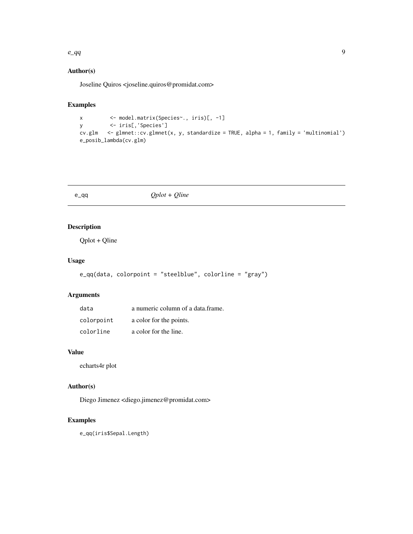#### <span id="page-8-0"></span> $e_{q}$ q 9

# Author(s)

Joseline Quiros <joseline.quiros@promidat.com>

#### Examples

```
x <- model.matrix(Species~., iris)[, -1]
y <- iris[,'Species']
cv.glm <- glmnet::cv.glmnet(x, y, standardize = TRUE, alpha = 1, family = 'multinomial')
e_posib_lambda(cv.glm)
```
#### e\_qq *Qplot + Qline*

# Description

Qplot + Qline

# Usage

```
e_qq(data, colorpoint = "steelblue", colorline = "gray")
```
# Arguments

| data       | a numeric column of a data frame. |
|------------|-----------------------------------|
| colorpoint | a color for the points.           |
| colorline  | a color for the line.             |

#### Value

echarts4r plot

# Author(s)

Diego Jimenez <diego.jimenez@promidat.com>

#### Examples

e\_qq(iris\$Sepal.Length)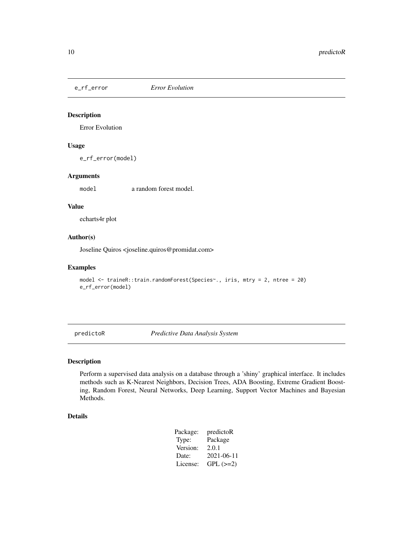<span id="page-9-0"></span>

Error Evolution

#### Usage

e\_rf\_error(model)

#### Arguments

model a random forest model.

#### Value

echarts4r plot

# Author(s)

Joseline Quiros <joseline.quiros@promidat.com>

#### Examples

```
model <- traineR::train.randomForest(Species~., iris, mtry = 2, ntree = 20)
e_rf_error(model)
```
predictoR *Predictive Data Analysis System*

# Description

Perform a supervised data analysis on a database through a 'shiny' graphical interface. It includes methods such as K-Nearest Neighbors, Decision Trees, ADA Boosting, Extreme Gradient Boosting, Random Forest, Neural Networks, Deep Learning, Support Vector Machines and Bayesian Methods.

# Details

| Package: | predictoR  |
|----------|------------|
| Type:    | Package    |
| Version: | 2.0.1      |
| Date:    | 2021-06-11 |
| License: | $GPL (=2)$ |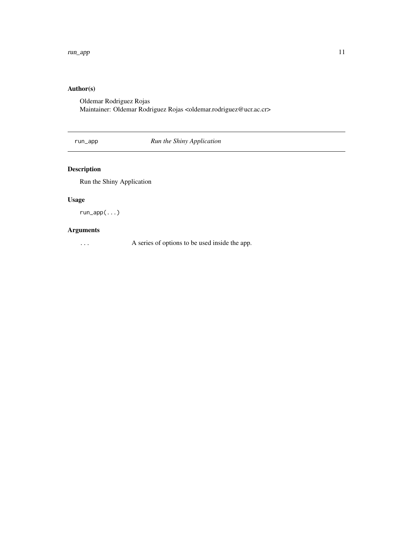# <span id="page-10-0"></span>Author(s)

Oldemar Rodriguez Rojas Maintainer: Oldemar Rodriguez Rojas <oldemar.rodriguez@ucr.ac.cr>

run\_app *Run the Shiny Application*

# Description

Run the Shiny Application

# Usage

run\_app(...)

# Arguments

... A series of options to be used inside the app.